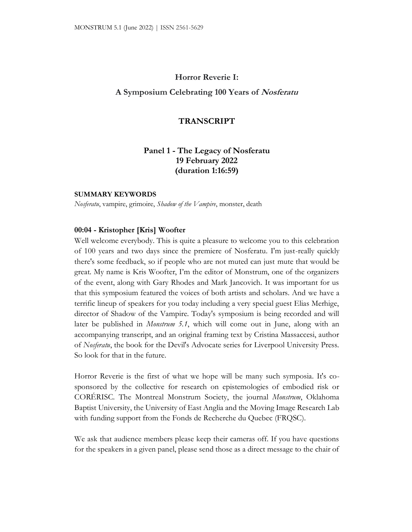# **Horror Reverie I:**

## **A Symposium Celebrating 100 Years of Nosferatu**

### **TRANSCRIPT**

# **Panel 1 - The Legacy of Nosferatu 19 February 2022 (duration 1:16:59)**

#### **SUMMARY KEYWORDS**

*Nosferatu*, vampire, grimoire, *Shadow of the Vampire*, monster, death

#### **00:04 - Kristopher [Kris] Woofter**

Well welcome everybody. This is quite a pleasure to welcome you to this celebration of 100 years and two days since the premiere of Nosferatu. I'm just-really quickly there's some feedback, so if people who are not muted can just mute that would be great. My name is Kris Woofter, I'm the editor of Monstrum, one of the organizers of the event, along with Gary Rhodes and Mark Jancovich. It was important for us that this symposium featured the voices of both artists and scholars. And we have a terrific lineup of speakers for you today including a very special guest Elias Merhige, director of Shadow of the Vampire. Today's symposium is being recorded and will later be published in *Monstrum 5.1*, which will come out in June, along with an accompanying transcript, and an original framing text by Cristina Massaccesi, author of *Nosferatu*, the book for the Devil's Advocate series for Liverpool University Press. So look for that in the future.

Horror Reverie is the first of what we hope will be many such symposia. It's cosponsored by the collective for research on epistemologies of embodied risk or CORÉRISC. The Montreal Monstrum Society, the journal *Monstrum*, Oklahoma Baptist University, the University of East Anglia and the Moving Image Research Lab with funding support from the Fonds de Recherche du Quebec (FRQSC).

We ask that audience members please keep their cameras off. If you have questions for the speakers in a given panel, please send those as a direct message to the chair of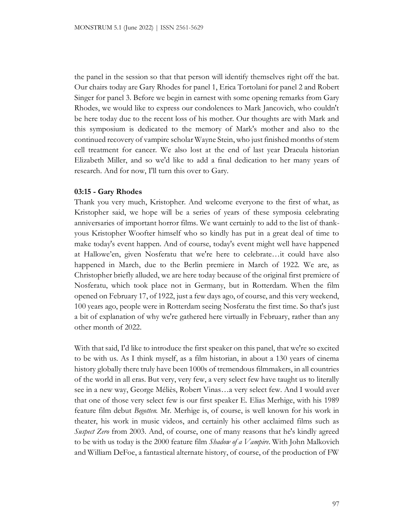the panel in the session so that that person will identify themselves right off the bat. Our chairs today are Gary Rhodes for panel 1, Erica Tortolani for panel 2 and Robert Singer for panel 3. Before we begin in earnest with some opening remarks from Gary Rhodes, we would like to express our condolences to Mark Jancovich, who couldn't be here today due to the recent loss of his mother. Our thoughts are with Mark and this symposium is dedicated to the memory of Mark's mother and also to the continued recovery of vampire scholar Wayne Stein, who just finished months of stem cell treatment for cancer. We also lost at the end of last year Dracula historian Elizabeth Miller, and so we'd like to add a final dedication to her many years of research. And for now, I'll turn this over to Gary.

### **03:15 - Gary Rhodes**

Thank you very much, Kristopher. And welcome everyone to the first of what, as Kristopher said, we hope will be a series of years of these symposia celebrating anniversaries of important horror films. We want certainly to add to the list of thankyous Kristopher Woofter himself who so kindly has put in a great deal of time to make today's event happen. And of course, today's event might well have happened at Hallowe'en, given Nosferatu that we're here to celebrate…it could have also happened in March, due to the Berlin premiere in March of 1922. We are, as Christopher briefly alluded, we are here today because of the original first premiere of Nosferatu, which took place not in Germany, but in Rotterdam. When the film opened on February 17, of 1922, just a few days ago, of course, and this very weekend, 100 years ago, people were in Rotterdam seeing Nosferatu the first time. So that's just a bit of explanation of why we're gathered here virtually in February, rather than any other month of 2022.

With that said, I'd like to introduce the first speaker on this panel, that we're so excited to be with us. As I think myself, as a film historian, in about a 130 years of cinema history globally there truly have been 1000s of tremendous filmmakers, in all countries of the world in all eras. But very, very few, a very select few have taught us to literally see in a new way, George Méliès, Robert Vinas…a very select few. And I would aver that one of those very select few is our first speaker E. Elias Merhige, with his 1989 feature film debut *Begotten.* Mr. Merhige is, of course, is well known for his work in theater, his work in music videos, and certainly his other acclaimed films such as *Suspect Zero* from 2003. And, of course, one of many reasons that he's kindly agreed to be with us today is the 2000 feature film *Shadow of a Vampire*. With John Malkovich and William DeFoe, a fantastical alternate history, of course, of the production of FW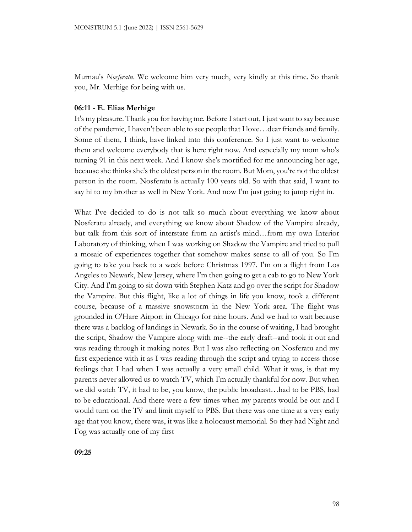Murnau's *Nosferatu*. We welcome him very much, very kindly at this time. So thank you, Mr. Merhige for being with us.

### **06:11 - E. Elias Merhige**

It's my pleasure. Thank you for having me. Before I start out, I just want to say because of the pandemic, I haven't been able to see people that I love…dear friends and family. Some of them, I think, have linked into this conference. So I just want to welcome them and welcome everybody that is here right now. And especially my mom who's turning 91 in this next week. And I know she's mortified for me announcing her age, because she thinks she's the oldest person in the room. But Mom, you're not the oldest person in the room. Nosferatu is actually 100 years old. So with that said, I want to say hi to my brother as well in New York. And now I'm just going to jump right in.

What I've decided to do is not talk so much about everything we know about Nosferatu already, and everything we know about Shadow of the Vampire already, but talk from this sort of interstate from an artist's mind…from my own Interior Laboratory of thinking, when I was working on Shadow the Vampire and tried to pull a mosaic of experiences together that somehow makes sense to all of you. So I'm going to take you back to a week before Christmas 1997. I'm on a flight from Los Angeles to Newark, New Jersey, where I'm then going to get a cab to go to New York City. And I'm going to sit down with Stephen Katz and go over the script for Shadow the Vampire. But this flight, like a lot of things in life you know, took a different course, because of a massive snowstorm in the New York area. The flight was grounded in O'Hare Airport in Chicago for nine hours. And we had to wait because there was a backlog of landings in Newark. So in the course of waiting, I had brought the script, Shadow the Vampire along with me--the early draft--and took it out and was reading through it making notes. But I was also reflecting on Nosferatu and my first experience with it as I was reading through the script and trying to access those feelings that I had when I was actually a very small child. What it was, is that my parents never allowed us to watch TV, which I'm actually thankful for now. But when we did watch TV, it had to be, you know, the public broadcast…had to be PBS, had to be educational. And there were a few times when my parents would be out and I would turn on the TV and limit myself to PBS. But there was one time at a very early age that you know, there was, it was like a holocaust memorial. So they had Night and Fog was actually one of my first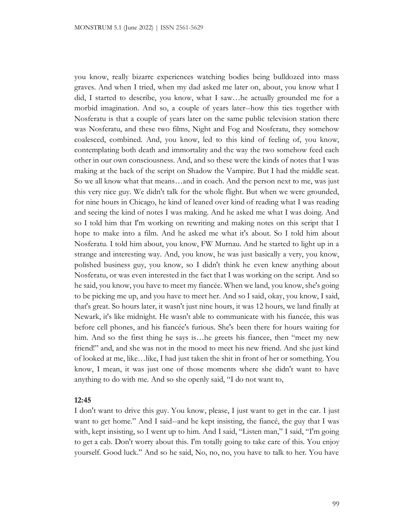you know, really bizarre experiences watching bodies being bulldozed into mass graves. And when I tried, when my dad asked me later on, about, you know what I did, I started to describe, you know, what I saw…he actually grounded me for a morbid imagination. And so, a couple of years later--how this ties together with Nosferatu is that a couple of years later on the same public television station there was Nosferatu, and these two films, Night and Fog and Nosferatu, they somehow coalesced, combined. And, you know, led to this kind of feeling of, you know, contemplating both death and immortality and the way the two somehow feed each other in our own consciousness. And, and so these were the kinds of notes that I was making at the back of the script on Shadow the Vampire. But I had the middle seat. So we all know what that means…and in coach. And the person next to me, was just this very nice guy. We didn't talk for the whole flight. But when we were grounded, for nine hours in Chicago, he kind of leaned over kind of reading what I was reading and seeing the kind of notes I was making. And he asked me what I was doing. And so I told him that I'm working on rewriting and making notes on this script that I hope to make into a film. And he asked me what it's about. So I told him about Nosferatu. I told him about, you know, FW Murnau. And he started to light up in a strange and interesting way. And, you know, he was just basically a very, you know, polished business guy, you know, so I didn't think he even knew anything about Nosferatu, or was even interested in the fact that I was working on the script. And so he said, you know, you have to meet my fiancée. When we land, you know, she's going to be picking me up, and you have to meet her. And so I said, okay, you know, I said, that's great. So hours later, it wasn't just nine hours, it was 12 hours, we land finally at Newark, it's like midnight. He wasn't able to communicate with his fiancée, this was before cell phones, and his fiancée's furious. She's been there for hours waiting for him. And so the first thing he says is…he greets his fiancee, then "meet my new friend!" and, and she was not in the mood to meet his new friend. And she just kind of looked at me, like…like, I had just taken the shit in front of her or something. You know, I mean, it was just one of those moments where she didn't want to have anything to do with me. And so she openly said, "I do not want to,

### **12:45**

I don't want to drive this guy. You know, please, I just want to get in the car. I just want to get home." And I said--and he kept insisting, the fiancé, the guy that I was with, kept insisting, so I went up to him. And I said, "Listen man," I said, "I'm going to get a cab. Don't worry about this. I'm totally going to take care of this. You enjoy yourself. Good luck." And so he said, No, no, no, you have to talk to her. You have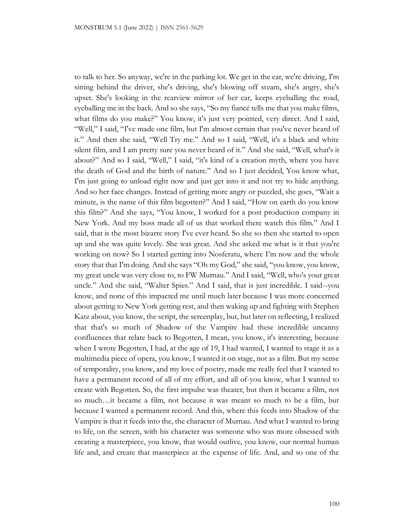to talk to her. So anyway, we're in the parking lot. We get in the car, we're driving, I'm sitting behind the driver, she's driving, she's blowing off steam, she's angry, she's upset. She's looking in the rearview mirror of her car, keeps eyeballing the road, eyeballing me in the back. And so she says, "So my fiancé tells me that you make films, what films do you make?" You know, it's just very pointed, very direct. And I said, "Well," I said, "I've made one film, but I'm almost certain that you've never heard of it." And then she said, "Well Try me." And so I said, "Well, it's a black and white silent film, and I am pretty sure you never heard of it." And she said, "Well, what's it about?" And so I said, "Well," I said, "it's kind of a creation myth, where you have the death of God and the birth of nature." And so I just decided, You know what, I'm just going to unload right now and just get into it and not try to hide anything. And so her face changes. Instead of getting more angry or puzzled, she goes, "Wait a minute, is the name of this film begotten?" And I said, "How on earth do you know this film?" And she says, "You know, I worked for a post production company in New York. And my boss made all of us that worked there watch this film." And I said, that is the most bizarre story I've ever heard. So she so then she started to open up and she was quite lovely. She was great. And she asked me what is it that you're working on now? So I started getting into Nosferatu, where I'm now and the whole story that that I'm doing. And she says "Oh my God," she said, "you know, you know, my great uncle was very close to, to FW Murnau." And I said, "Well, who's your great uncle." And she said, "Walter Spies." And I said, that is just incredible. I said--you know, and none of this impacted me until much later because I was more concerned about getting to New York getting rest, and then waking up and fighting with Stephen Katz about, you know, the script, the screenplay, but, but later on reflecting, I realized that that's so much of Shadow of the Vampire had these incredible uncanny confluences that relate back to Begotten, I mean, you know, it's interesting, because when I wrote Begotten, I had, at the age of 19, I had wanted, I wanted to stage it as a multimedia piece of opera, you know, I wanted it on stage, not as a film. But my sense of temporality, you know, and my love of poetry, made me really feel that I wanted to have a permanent record of all of my effort, and all of-you know, what I wanted to create with Begotten. So, the first impulse was theater, but then it became a film, not so much…it became a film, not because it was meant so much to be a film, but because I wanted a permanent record. And this, where this feeds into Shadow of the Vampire is that it feeds into the, the character of Murnau. And what I wanted to bring to life, on the screen, with his character was someone who was more obsessed with creating a masterpiece, you know, that would outlive, you know, our normal human life and, and create that masterpiece at the expense of life. And, and so one of the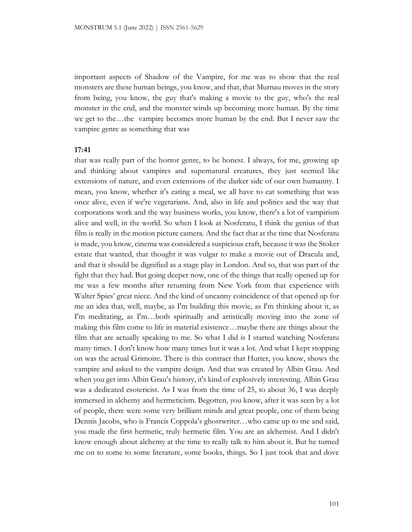important aspects of Shadow of the Vampire, for me was to show that the real monsters are these human beings, you know, and that, that Murnau moves in the story from being, you know, the guy that's making a movie to the guy, who's the real monster in the end, and the monster winds up becoming more human. By the time we get to the…the vampire becomes more human by the end. But I never saw the vampire genre as something that was

#### **17:41**

that was really part of the horror genre, to be honest. I always, for me, growing up and thinking about vampires and supernatural creatures, they just seemed like extensions of nature, and even extensions of the darker side of our own humanity. I mean, you know, whether it's eating a meal, we all have to eat something that was once alive, even if we're vegetarians. And, also in life and politics and the way that corporations work and the way business works, you know, there's a lot of vampirism alive and well, in the world. So when I look at Nosferatu, I think the genius of that film is really in the motion picture camera. And the fact that at the time that Nosferatu is made, you know, cinema was considered a suspicious craft, because it was the Stoker estate that wanted, that thought it was vulgar to make a movie out of Dracula and, and that it should be dignified as a stage play in London. And so, that was part of the fight that they had. But going deeper now, one of the things that really opened up for me was a few months after returning from New York from that experience with Walter Spies' great niece. And the kind of uncanny coincidence of that opened up for me an idea that, well, maybe, as I'm building this movie, as I'm thinking about it, as I'm meditating, as I'm…both spiritually and artistically moving into the zone of making this film come to life in material existence…maybe there are things about the film that are actually speaking to me. So what I did is I started watching Nosferatu many times. I don't know how many times but it was a lot. And what I kept stopping on was the actual Grimoire. There is this contract that Hutter, you know, shows the vampire and asked to the vampire design. And that was created by Albin Grau. And when you get into Albin Grau's history, it's kind of explosively interesting. Albin Grau was a dedicated esotericist. As I was from the time of 25, to about 36, I was deeply immersed in alchemy and hermeticism. Begotten, you know, after it was seen by a lot of people, there were some very brilliant minds and great people, one of them being Dennis Jacobs, who is Francis Coppola's ghostwriter…who came up to me and said, you made the first hermetic, truly hermetic film. You are an alchemist. And I didn't know enough about alchemy at the time to really talk to him about it. But he turned me on to some to some literature, some books, things. So I just took that and dove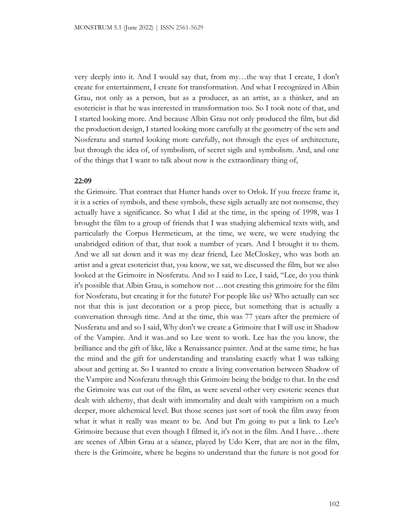very deeply into it. And I would say that, from my…the way that I create, I don't create for entertainment, I create for transformation. And what I recognized in Albin Grau, not only as a person, but as a producer, as an artist, as a thinker, and an esotericist is that he was interested in transformation too. So I took note of that, and I started looking more. And because Albin Grau not only produced the film, but did the production design, I started looking more carefully at the geometry of the sets and Nosferatu and started looking more carefully, not through the eyes of architecture, but through the idea of, of symbolism, of secret sigils and symbolism. And, and one of the things that I want to talk about now is the extraordinary thing of,

## **22:09**

the Grimoire. That contract that Hutter hands over to Orlok. If you freeze frame it, it is a series of symbols, and these symbols, these sigils actually are not nonsense, they actually have a significance. So what I did at the time, in the spring of 1998, was I brought the film to a group of friends that I was studying alchemical texts with, and particularly the Corpus Hermeticum, at the time, we were, we were studying the unabridged edition of that, that took a number of years. And I brought it to them. And we all sat down and it was my dear friend, Lee McCloskey, who was both an artist and a great esotericist that, you know, we sat, we discussed the film, but we also looked at the Grimoire in Nosferatu. And so I said to Lee, I said, "Lee, do you think it's possible that Albin Grau, is somehow not …not creating this grimoire for the film for Nosferatu, but creating it for the future? For people like us? Who actually can see not that this is just decoration or a prop piece, but something that is actually a conversation through time. And at the time, this was 77 years after the premiere of Nosferatu and and so I said, Why don't we create a Grimoire that I will use in Shadow of the Vampire. And it was..and so Lee went to work. Lee has the you know, the brilliance and the gift of like, like a Renaissance painter. And at the same time, he has the mind and the gift for understanding and translating exactly what I was talking about and getting at. So I wanted to create a living conversation between Shadow of the Vampire and Nosferatu through this Grimoire being the bridge to that. In the end the Grimoire was cut out of the film, as were several other very esoteric scenes that dealt with alchemy, that dealt with immortality and dealt with vampirism on a much deeper, more alchemical level. But those scenes just sort of took the film away from what it what it really was meant to be. And but I'm going to put a link to Lee's Grimoire because that even though I filmed it, it's not in the film. And I have…there are scenes of Albin Grau at a séance, played by Udo Kerr, that are not in the film, there is the Grimoire, where he begins to understand that the future is not good for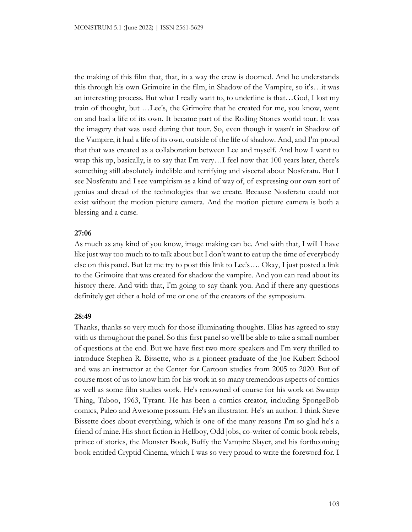the making of this film that, that, in a way the crew is doomed. And he understands this through his own Grimoire in the film, in Shadow of the Vampire, so it's…it was an interesting process. But what I really want to, to underline is that…God, I lost my train of thought, but …Lee's, the Grimoire that he created for me, you know, went on and had a life of its own. It became part of the Rolling Stones world tour. It was the imagery that was used during that tour. So, even though it wasn't in Shadow of the Vampire, it had a life of its own, outside of the life of shadow. And, and I'm proud that that was created as a collaboration between Lee and myself. And how I want to wrap this up, basically, is to say that I'm very…I feel now that 100 years later, there's something still absolutely indelible and terrifying and visceral about Nosferatu. But I see Nosferatu and I see vampirism as a kind of way of, of expressing our own sort of genius and dread of the technologies that we create. Because Nosferatu could not exist without the motion picture camera. And the motion picture camera is both a blessing and a curse.

### **27:06**

As much as any kind of you know, image making can be. And with that, I will I have like just way too much to to talk about but I don't want to eat up the time of everybody else on this panel. But let me try to post this link to Lee's…. Okay, I just posted a link to the Grimoire that was created for shadow the vampire. And you can read about its history there. And with that, I'm going to say thank you. And if there any questions definitely get either a hold of me or one of the creators of the symposium.

#### **28:49**

Thanks, thanks so very much for those illuminating thoughts. Elias has agreed to stay with us throughout the panel. So this first panel so we'll be able to take a small number of questions at the end. But we have first two more speakers and I'm very thrilled to introduce Stephen R. Bissette, who is a pioneer graduate of the Joe Kubert School and was an instructor at the Center for Cartoon studies from 2005 to 2020. But of course most of us to know him for his work in so many tremendous aspects of comics as well as some film studies work. He's renowned of course for his work on Swamp Thing, Taboo, 1963, Tyrant. He has been a comics creator, including SpongeBob comics, Paleo and Awesome possum. He's an illustrator. He's an author. I think Steve Bissette does about everything, which is one of the many reasons I'm so glad he's a friend of mine. His short fiction in Hellboy, Odd jobs, co-writer of comic book rebels, prince of stories, the Monster Book, Buffy the Vampire Slayer, and his forthcoming book entitled Cryptid Cinema, which I was so very proud to write the foreword for. I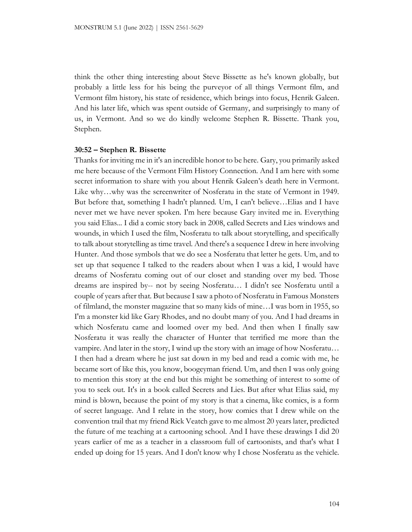think the other thing interesting about Steve Bissette as he's known globally, but probably a little less for his being the purveyor of all things Vermont film, and Vermont film history, his state of residence, which brings into focus, Henrik Galeen. And his later life, which was spent outside of Germany, and surprisingly to many of us, in Vermont. And so we do kindly welcome Stephen R. Bissette. Thank you, Stephen.

#### **30:52 – Stephen R. Bissette**

Thanks for inviting me in it's an incredible honor to be here. Gary, you primarily asked me here because of the Vermont Film History Connection. And I am here with some secret information to share with you about Henrik Galeen's death here in Vermont. Like why…why was the screenwriter of Nosferatu in the state of Vermont in 1949. But before that, something I hadn't planned. Um, I can't believe…Elias and I have never met we have never spoken. I'm here because Gary invited me in. Everything you said Elias... I did a comic story back in 2008, called Secrets and Lies windows and wounds, in which I used the film, Nosferatu to talk about storytelling, and specifically to talk about storytelling as time travel. And there's a sequence I drew in here involving Hunter. And those symbols that we do see a Nosferatu that letter he gets. Um, and to set up that sequence I talked to the readers about when I was a kid, I would have dreams of Nosferatu coming out of our closet and standing over my bed. Those dreams are inspired by-- not by seeing Nosferatu… I didn't see Nosferatu until a couple of years after that. But because I saw a photo of Nosferatu in Famous Monsters of filmland, the monster magazine that so many kids of mine…I was born in 1955, so I'm a monster kid like Gary Rhodes, and no doubt many of you. And I had dreams in which Nosferatu came and loomed over my bed. And then when I finally saw Nosferatu it was really the character of Hunter that terrified me more than the vampire. And later in the story, I wind up the story with an image of how Nosferatu… I then had a dream where he just sat down in my bed and read a comic with me, he became sort of like this, you know, boogeyman friend. Um, and then I was only going to mention this story at the end but this might be something of interest to some of you to seek out. It's in a book called Secrets and Lies. But after what Elias said, my mind is blown, because the point of my story is that a cinema, like comics, is a form of secret language. And I relate in the story, how comics that I drew while on the convention trail that my friend Rick Veatch gave to me almost 20 years later, predicted the future of me teaching at a cartooning school. And I have these drawings I did 20 years earlier of me as a teacher in a classroom full of cartoonists, and that's what I ended up doing for 15 years. And I don't know why I chose Nosferatu as the vehicle.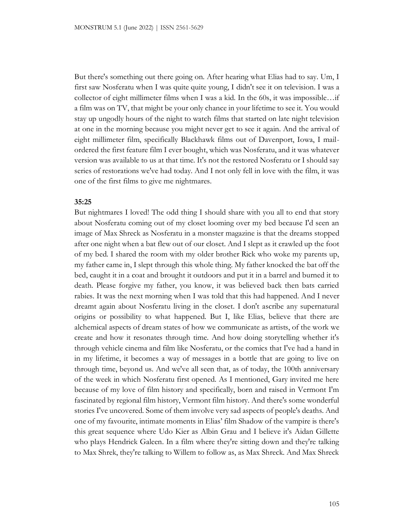But there's something out there going on. After hearing what Elias had to say. Um, I first saw Nosferatu when I was quite quite young, I didn't see it on television. I was a collector of eight millimeter films when I was a kid. In the 60s, it was impossible…if a film was on TV, that might be your only chance in your lifetime to see it. You would stay up ungodly hours of the night to watch films that started on late night television at one in the morning because you might never get to see it again. And the arrival of eight millimeter film, specifically Blackhawk films out of Davenport, Iowa, I mailordered the first feature film I ever bought, which was Nosferatu, and it was whatever version was available to us at that time. It's not the restored Nosferatu or I should say series of restorations we've had today. And I not only fell in love with the film, it was one of the first films to give me nightmares.

#### **35:25**

But nightmares I loved! The odd thing I should share with you all to end that story about Nosferatu coming out of my closet looming over my bed because I'd seen an image of Max Shreck as Nosferatu in a monster magazine is that the dreams stopped after one night when a bat flew out of our closet. And I slept as it crawled up the foot of my bed. I shared the room with my older brother Rick who woke my parents up, my father came in, I slept through this whole thing. My father knocked the bat off the bed, caught it in a coat and brought it outdoors and put it in a barrel and burned it to death. Please forgive my father, you know, it was believed back then bats carried rabies. It was the next morning when I was told that this had happened. And I never dreamt again about Nosferatu living in the closet. I don't ascribe any supernatural origins or possibility to what happened. But I, like Elias, believe that there are alchemical aspects of dream states of how we communicate as artists, of the work we create and how it resonates through time. And how doing storytelling whether it's through vehicle cinema and film like Nosferatu, or the comics that I've had a hand in in my lifetime, it becomes a way of messages in a bottle that are going to live on through time, beyond us. And we've all seen that, as of today, the 100th anniversary of the week in which Nosferatu first opened. As I mentioned, Gary invited me here because of my love of film history and specifically, born and raised in Vermont I'm fascinated by regional film history, Vermont film history. And there's some wonderful stories I've uncovered. Some of them involve very sad aspects of people's deaths. And one of my favourite, intimate moments in Elias' film Shadow of the vampire is there's this great sequence where Udo Kier as Albin Grau and I believe it's Aidan Gillette who plays Hendrick Galeen. In a film where they're sitting down and they're talking to Max Shrek, they're talking to Willem to follow as, as Max Shreck. And Max Shreck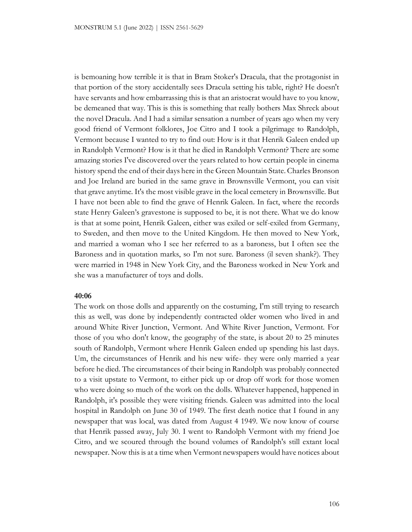is bemoaning how terrible it is that in Bram Stoker's Dracula, that the protagonist in that portion of the story accidentally sees Dracula setting his table, right? He doesn't have servants and how embarrassing this is that an aristocrat would have to you know, be demeaned that way. This is this is something that really bothers Max Shreck about the novel Dracula. And I had a similar sensation a number of years ago when my very good friend of Vermont folklores, Joe Citro and I took a pilgrimage to Randolph, Vermont because I wanted to try to find out: How is it that Henrik Galeen ended up in Randolph Vermont? How is it that he died in Randolph Vermont? There are some amazing stories I've discovered over the years related to how certain people in cinema history spend the end of their days here in the Green Mountain State. Charles Bronson and Joe Ireland are buried in the same grave in Brownsville Vermont, you can visit that grave anytime. It's the most visible grave in the local cemetery in Brownsville. But I have not been able to find the grave of Henrik Galeen. In fact, where the records state Henry Galeen's gravestone is supposed to be, it is not there. What we do know is that at some point, Henrik Galeen, either was exiled or self-exiled from Germany, to Sweden, and then move to the United Kingdom. He then moved to New York, and married a woman who I see her referred to as a baroness, but I often see the Baroness and in quotation marks, so I'm not sure. Baroness (il seven shank?). They were married in 1948 in New York City, and the Baroness worked in New York and she was a manufacturer of toys and dolls.

#### **40:06**

The work on those dolls and apparently on the costuming, I'm still trying to research this as well, was done by independently contracted older women who lived in and around White River Junction, Vermont. And White River Junction, Vermont. For those of you who don't know, the geography of the state, is about 20 to 25 minutes south of Randolph, Vermont where Henrik Galeen ended up spending his last days. Um, the circumstances of Henrik and his new wife- they were only married a year before he died. The circumstances of their being in Randolph was probably connected to a visit upstate to Vermont, to either pick up or drop off work for those women who were doing so much of the work on the dolls. Whatever happened, happened in Randolph, it's possible they were visiting friends. Galeen was admitted into the local hospital in Randolph on June 30 of 1949. The first death notice that I found in any newspaper that was local, was dated from August 4 1949. We now know of course that Henrik passed away, July 30. I went to Randolph Vermont with my friend Joe Citro, and we scoured through the bound volumes of Randolph's still extant local newspaper. Now this is at a time when Vermont newspapers would have notices about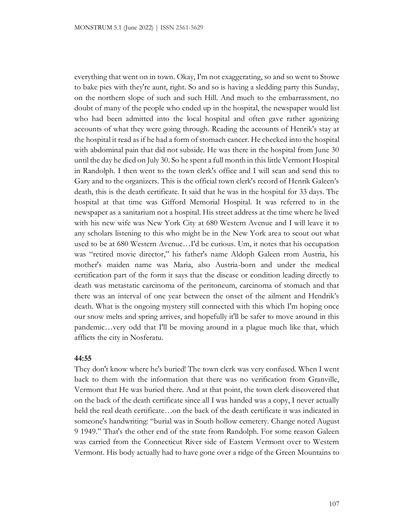everything that went on in town. Okay, I'm not exaggerating, so and so went to Stowe to bake pies with they're aunt, right. So and so is having a sledding party this Sunday, on the northern slope of such and such Hill. And much to the embarrassment, no doubt of many of the people who ended up in the hospital, the newspaper would list who had been admitted into the local hospital and often gave rather agonizing accounts of what they were going through. Reading the accounts of Henrik's stay at the hospital it read as if he had a form of stomach cancer. He checked into the hospital with abdominal pain that did not subside. He was there in the hospital from June 30 until the day he died on July 30. So he spent a full month in this little Vermont Hospital in Randolph. I then went to the town clerk's office and I will scan and send this to Gary and to the organizers. This is the official town clerk's record of Henrik Galeen's death, this is the death certificate. It said that he was in the hospital for 33 days. The hospital at that time was Gifford Memorial Hospital. It was referred to in the newspaper as a sanitarium not a hospital. His street address at the time where he lived with his new wife was New York City at 680 Western Avenue and I will leave it to any scholars listening to this who might be in the New York area to scout out what used to be at 680 Western Avenue…I'd be curious. Um, it notes that his occupation was "retired movie director," his father's name Aldoph Galeen rrom Austria, his mother's maiden name was Maria, also Austria-born and under the medical certification part of the form it says that the disease or condition leading directly to death was metastatic carcinoma of the peritoneum, carcinoma of stomach and that there was an interval of one year between the onset of the ailment and Hendrik's death. What is the ongoing mystery still connected with this which I'm hoping once our snow melts and spring arrives, and hopefully it'll be safer to move around in this pandemic…very odd that I'll be moving around in a plague much like that, which afflicts the city in Nosferatu.

### **44:55**

They don't know where he's buried! The town clerk was very confused. When I went back to them with the information that there was no verification from Granville, Vermont that He was buried there. And at that point, the town clerk discovered that on the back of the death certificate since all I was handed was a copy, I never actually held the real death certificate…on the back of the death certificate it was indicated in someone's handwriting: "burial was in South hollow cemetery. Change noted August 9 1949." That's the other end of the state from Randolph. For some reason Galeen was carried from the Connecticut River side of Eastern Vermont over to Western Vermont. His body actually had to have gone over a ridge of the Green Mountains to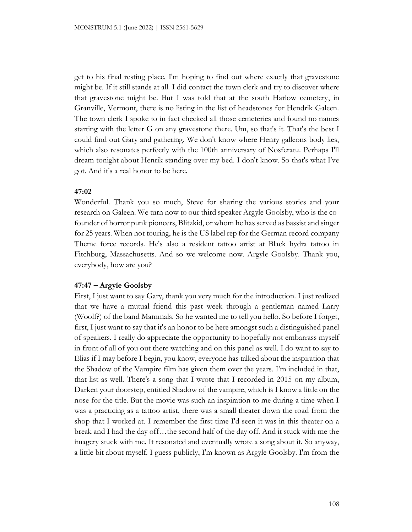get to his final resting place. I'm hoping to find out where exactly that gravestone might be. If it still stands at all. I did contact the town clerk and try to discover where that gravestone might be. But I was told that at the south Harlow cemetery, in Granville, Vermont, there is no listing in the list of headstones for Hendrik Galeen. The town clerk I spoke to in fact checked all those cemeteries and found no names starting with the letter G on any gravestone there. Um, so that's it. That's the best I could find out Gary and gathering. We don't know where Henry galleons body lies, which also resonates perfectly with the 100th anniversary of Nosferatu. Perhaps I'll dream tonight about Henrik standing over my bed. I don't know. So that's what I've got. And it's a real honor to be here.

### **47:02**

Wonderful. Thank you so much, Steve for sharing the various stories and your research on Galeen. We turn now to our third speaker Argyle Goolsby, who is the cofounder of horror punk pioneers, Blitzkid, or whom he has served as bassist and singer for 25 years. When not touring, he is the US label rep for the German record company Theme force records. He's also a resident tattoo artist at Black hydra tattoo in Fitchburg, Massachusetts. And so we welcome now. Argyle Goolsby. Thank you, everybody, how are you?

## **47:47 – Argyle Goolsby**

First, I just want to say Gary, thank you very much for the introduction. I just realized that we have a mutual friend this past week through a gentleman named Larry (Woolf?) of the band Mammals. So he wanted me to tell you hello. So before I forget, first, I just want to say that it's an honor to be here amongst such a distinguished panel of speakers. I really do appreciate the opportunity to hopefully not embarrass myself in front of all of you out there watching and on this panel as well. I do want to say to Elias if I may before I begin, you know, everyone has talked about the inspiration that the Shadow of the Vampire film has given them over the years. I'm included in that, that list as well. There's a song that I wrote that I recorded in 2015 on my album, Darken your doorstep, entitled Shadow of the vampire, which is I know a little on the nose for the title. But the movie was such an inspiration to me during a time when I was a practicing as a tattoo artist, there was a small theater down the road from the shop that I worked at. I remember the first time I'd seen it was in this theater on a break and I had the day off...the second half of the day off. And it stuck with me the imagery stuck with me. It resonated and eventually wrote a song about it. So anyway, a little bit about myself. I guess publicly, I'm known as Argyle Goolsby. I'm from the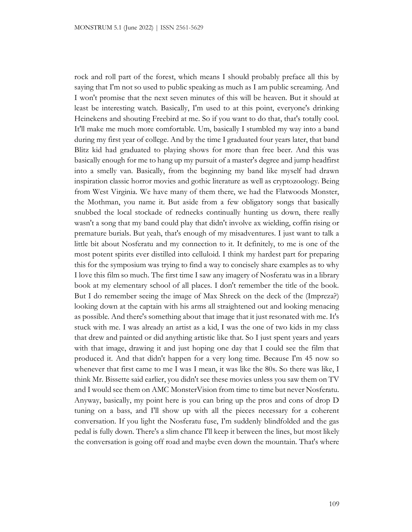rock and roll part of the forest, which means I should probably preface all this by saying that I'm not so used to public speaking as much as I am public screaming. And I won't promise that the next seven minutes of this will be heaven. But it should at least be interesting watch. Basically, I'm used to at this point, everyone's drinking Heinekens and shouting Freebird at me. So if you want to do that, that's totally cool. It'll make me much more comfortable. Um, basically I stumbled my way into a band during my first year of college. And by the time I graduated four years later, that band Blitz kid had graduated to playing shows for more than free beer. And this was basically enough for me to hang up my pursuit of a master's degree and jump headfirst into a smelly van. Basically, from the beginning my band like myself had drawn inspiration classic horror movies and gothic literature as well as cryptozoology. Being from West Virginia. We have many of them there, we had the Flatwoods Monster, the Mothman, you name it. But aside from a few obligatory songs that basically snubbed the local stockade of rednecks continually hunting us down, there really wasn't a song that my band could play that didn't involve ax wielding, coffin rising or premature burials. But yeah, that's enough of my misadventures. I just want to talk a little bit about Nosferatu and my connection to it. It definitely, to me is one of the most potent spirits ever distilled into celluloid. I think my hardest part for preparing this for the symposium was trying to find a way to concisely share examples as to why I love this film so much. The first time I saw any imagery of Nosferatu was in a library book at my elementary school of all places. I don't remember the title of the book. But I do remember seeing the image of Max Shreck on the deck of the (Impreza?) looking down at the captain with his arms all straightened out and looking menacing as possible. And there's something about that image that it just resonated with me. It's stuck with me. I was already an artist as a kid, I was the one of two kids in my class that drew and painted or did anything artistic like that. So I just spent years and years with that image, drawing it and just hoping one day that I could see the film that produced it. And that didn't happen for a very long time. Because I'm 45 now so whenever that first came to me I was I mean, it was like the 80s. So there was like, I think Mr. Bissette said earlier, you didn't see these movies unless you saw them on TV and I would see them on AMC MonsterVision from time to time but never Nosferatu. Anyway, basically, my point here is you can bring up the pros and cons of drop D tuning on a bass, and I'll show up with all the pieces necessary for a coherent conversation. If you light the Nosferatu fuse, I'm suddenly blindfolded and the gas pedal is fully down. There's a slim chance I'll keep it between the lines, but most likely the conversation is going off road and maybe even down the mountain. That's where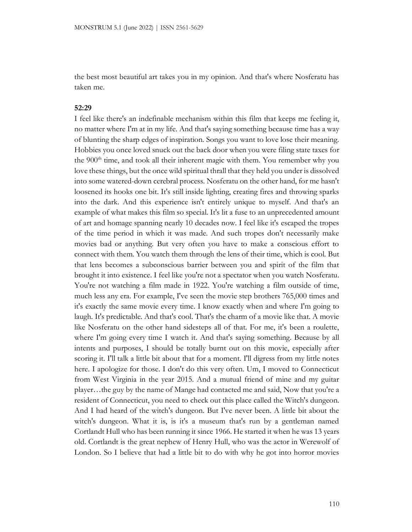the best most beautiful art takes you in my opinion. And that's where Nosferatu has taken me.

#### **52:29**

I feel like there's an indefinable mechanism within this film that keeps me feeling it, no matter where I'm at in my life. And that's saying something because time has a way of blunting the sharp edges of inspiration. Songs you want to love lose their meaning. Hobbies you once loved snuck out the back door when you were filing state taxes for the 900<sup>th</sup> time, and took all their inherent magic with them. You remember why you love these things, but the once wild spiritual thrall that they held you under is dissolved into some watered-down cerebral process. Nosferatu on the other hand, for me hasn't loosened its hooks one bit. It's still inside lighting, creating fires and throwing sparks into the dark. And this experience isn't entirely unique to myself. And that's an example of what makes this film so special. It's lit a fuse to an unprecedented amount of art and homage spanning nearly 10 decades now. I feel like it's escaped the tropes of the time period in which it was made. And such tropes don't necessarily make movies bad or anything. But very often you have to make a conscious effort to connect with them. You watch them through the lens of their time, which is cool. But that lens becomes a subconscious barrier between you and spirit of the film that brought it into existence. I feel like you're not a spectator when you watch Nosferatu. You're not watching a film made in 1922. You're watching a film outside of time, much less any era. For example, I've seen the movie step brothers 765,000 times and it's exactly the same movie every time. I know exactly when and where I'm going to laugh. It's predictable. And that's cool. That's the charm of a movie like that. A movie like Nosferatu on the other hand sidesteps all of that. For me, it's been a roulette, where I'm going every time I watch it. And that's saying something. Because by all intents and purposes, I should be totally burnt out on this movie, especially after scoring it. I'll talk a little bit about that for a moment. I'll digress from my little notes here. I apologize for those. I don't do this very often. Um, I moved to Connecticut from West Virginia in the year 2015. And a mutual friend of mine and my guitar player…the guy by the name of Mange had contacted me and said, Now that you're a resident of Connecticut, you need to check out this place called the Witch's dungeon. And I had heard of the witch's dungeon. But I've never been. A little bit about the witch's dungeon. What it is, is it's a museum that's run by a gentleman named Cortlandt Hull who has been running it since 1966. He started it when he was 13 years old. Cortlandt is the great nephew of Henry Hull, who was the actor in Werewolf of London. So I believe that had a little bit to do with why he got into horror movies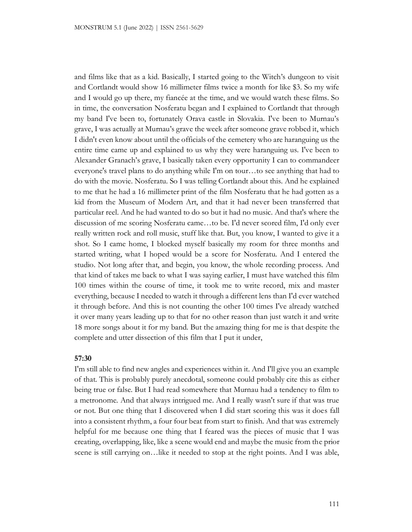and films like that as a kid. Basically, I started going to the Witch's dungeon to visit and Cortlandt would show 16 millimeter films twice a month for like \$3. So my wife and I would go up there, my fiancée at the time, and we would watch these films. So in time, the conversation Nosferatu began and I explained to Cortlandt that through my band I've been to, fortunately Orava castle in Slovakia. I've been to Murnau's grave, I was actually at Murnau's grave the week after someone grave robbed it, which I didn't even know about until the officials of the cemetery who are haranguing us the entire time came up and explained to us why they were haranguing us. I've been to Alexander Granach's grave, I basically taken every opportunity I can to commandeer everyone's travel plans to do anything while I'm on tour…to see anything that had to do with the movie. Nosferatu. So I was telling Cortlandt about this. And he explained to me that he had a 16 millimeter print of the film Nosferatu that he had gotten as a kid from the Museum of Modern Art, and that it had never been transferred that particular reel. And he had wanted to do so but it had no music. And that's where the discussion of me scoring Nosferatu came…to be. I'd never scored film, I'd only ever really written rock and roll music, stuff like that. But, you know, I wanted to give it a shot. So I came home, I blocked myself basically my room for three months and started writing, what I hoped would be a score for Nosferatu. And I entered the studio. Not long after that, and begin, you know, the whole recording process. And that kind of takes me back to what I was saying earlier, I must have watched this film 100 times within the course of time, it took me to write record, mix and master everything, because I needed to watch it through a different lens than I'd ever watched it through before. And this is not counting the other 100 times I've already watched it over many years leading up to that for no other reason than just watch it and write 18 more songs about it for my band. But the amazing thing for me is that despite the complete and utter dissection of this film that I put it under,

# **57:30**

I'm still able to find new angles and experiences within it. And I'll give you an example of that. This is probably purely anecdotal, someone could probably cite this as either being true or false. But I had read somewhere that Murnau had a tendency to film to a metronome. And that always intrigued me. And I really wasn't sure if that was true or not. But one thing that I discovered when I did start scoring this was it does fall into a consistent rhythm, a four four beat from start to finish. And that was extremely helpful for me because one thing that I feared was the pieces of music that I was creating, overlapping, like, like a scene would end and maybe the music from the prior scene is still carrying on…like it needed to stop at the right points. And I was able,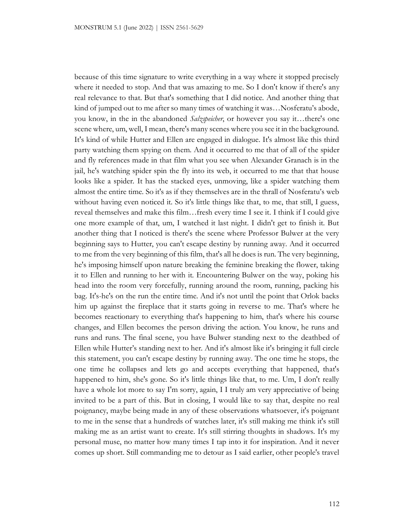because of this time signature to write everything in a way where it stopped precisely where it needed to stop. And that was amazing to me. So I don't know if there's any real relevance to that. But that's something that I did notice. And another thing that kind of jumped out to me after so many times of watching it was…Nosferatu's abode, you know, in the in the abandoned *Salzspeicher*, or however you say it…there's one scene where, um, well, I mean, there's many scenes where you see it in the background. It's kind of while Hutter and Ellen are engaged in dialogue. It's almost like this third party watching them spying on them. And it occurred to me that of all of the spider and fly references made in that film what you see when Alexander Granach is in the jail, he's watching spider spin the fly into its web, it occurred to me that that house looks like a spider. It has the stacked eyes, unmoving, like a spider watching them almost the entire time. So it's as if they themselves are in the thrall of Nosferatu's web without having even noticed it. So it's little things like that, to me, that still, I guess, reveal themselves and make this film…fresh every time I see it. I think if I could give one more example of that, um, I watched it last night. I didn't get to finish it. But another thing that I noticed is there's the scene where Professor Bulwer at the very beginning says to Hutter, you can't escape destiny by running away. And it occurred to me from the very beginning of this film, that's all he does is run. The very beginning, he's imposing himself upon nature breaking the feminine breaking the flower, taking it to Ellen and running to her with it. Encountering Bulwer on the way, poking his head into the room very forcefully, running around the room, running, packing his bag. It's-he's on the run the entire time. And it's not until the point that Orlok backs him up against the fireplace that it starts going in reverse to me. That's where he becomes reactionary to everything that's happening to him, that's where his course changes, and Ellen becomes the person driving the action. You know, he runs and runs and runs. The final scene, you have Bulwer standing next to the deathbed of Ellen while Hutter's standing next to her. And it's almost like it's bringing it full circle this statement, you can't escape destiny by running away. The one time he stops, the one time he collapses and lets go and accepts everything that happened, that's happened to him, she's gone. So it's little things like that, to me. Um, I don't really have a whole lot more to say I'm sorry, again, I I truly am very appreciative of being invited to be a part of this. But in closing, I would like to say that, despite no real poignancy, maybe being made in any of these observations whatsoever, it's poignant to me in the sense that a hundreds of watches later, it's still making me think it's still making me as an artist want to create. It's still stirring thoughts in shadows. It's my personal muse, no matter how many times I tap into it for inspiration. And it never comes up short. Still commanding me to detour as I said earlier, other people's travel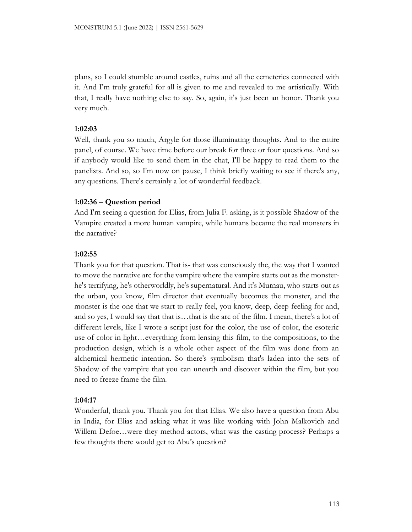plans, so I could stumble around castles, ruins and all the cemeteries connected with it. And I'm truly grateful for all is given to me and revealed to me artistically. With that, I really have nothing else to say. So, again, it's just been an honor. Thank you very much.

# **1:02:03**

Well, thank you so much, Argyle for those illuminating thoughts. And to the entire panel, of course. We have time before our break for three or four questions. And so if anybody would like to send them in the chat, I'll be happy to read them to the panelists. And so, so I'm now on pause, I think briefly waiting to see if there's any, any questions. There's certainly a lot of wonderful feedback.

## **1:02:36 – Question period**

And I'm seeing a question for Elias, from Julia F. asking, is it possible Shadow of the Vampire created a more human vampire, while humans became the real monsters in the narrative?

# **1:02:55**

Thank you for that question. That is- that was consciously the, the way that I wanted to move the narrative arc for the vampire where the vampire starts out as the monsterhe's terrifying, he's otherworldly, he's supernatural. And it's Murnau, who starts out as the urban, you know, film director that eventually becomes the monster, and the monster is the one that we start to really feel, you know, deep, deep feeling for and, and so yes, I would say that that is...that is the arc of the film. I mean, there's a lot of different levels, like I wrote a script just for the color, the use of color, the esoteric use of color in light…everything from lensing this film, to the compositions, to the production design, which is a whole other aspect of the film was done from an alchemical hermetic intention. So there's symbolism that's laden into the sets of Shadow of the vampire that you can unearth and discover within the film, but you need to freeze frame the film.

# **1:04:17**

Wonderful, thank you. Thank you for that Elias. We also have a question from Abu in India, for Elias and asking what it was like working with John Malkovich and Willem Defoe…were they method actors, what was the casting process? Perhaps a few thoughts there would get to Abu's question?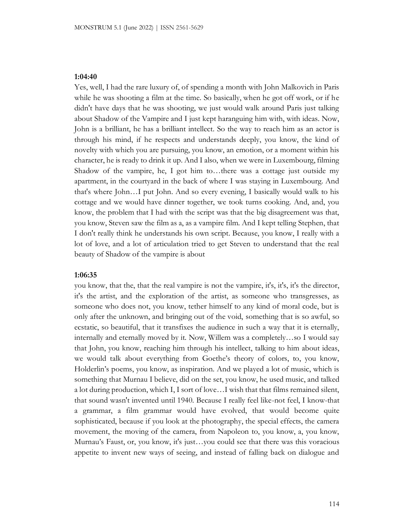### **1:04:40**

Yes, well, I had the rare luxury of, of spending a month with John Malkovich in Paris while he was shooting a film at the time. So basically, when he got off work, or if he didn't have days that he was shooting, we just would walk around Paris just talking about Shadow of the Vampire and I just kept haranguing him with, with ideas. Now, John is a brilliant, he has a brilliant intellect. So the way to reach him as an actor is through his mind, if he respects and understands deeply, you know, the kind of novelty with which you are pursuing, you know, an emotion, or a moment within his character, he is ready to drink it up. And I also, when we were in Luxembourg, filming Shadow of the vampire, he, I got him to…there was a cottage just outside my apartment, in the courtyard in the back of where I was staying in Luxembourg. And that's where John…I put John. And so every evening, I basically would walk to his cottage and we would have dinner together, we took turns cooking. And, and, you know, the problem that I had with the script was that the big disagreement was that, you know, Steven saw the film as a, as a vampire film. And I kept telling Stephen, that I don't really think he understands his own script. Because, you know, I really with a lot of love, and a lot of articulation tried to get Steven to understand that the real beauty of Shadow of the vampire is about

#### **1:06:35**

you know, that the, that the real vampire is not the vampire, it's, it's, it's the director, it's the artist, and the exploration of the artist, as someone who transgresses, as someone who does not, you know, tether himself to any kind of moral code, but is only after the unknown, and bringing out of the void, something that is so awful, so ecstatic, so beautiful, that it transfixes the audience in such a way that it is eternally, internally and eternally moved by it. Now, Willem was a completely…so I would say that John, you know, reaching him through his intellect, talking to him about ideas, we would talk about everything from Goethe's theory of colors, to, you know, Holderlin's poems, you know, as inspiration. And we played a lot of music, which is something that Murnau I believe, did on the set, you know, he used music, and talked a lot during production, which I, I sort of love…I wish that that films remained silent, that sound wasn't invented until 1940. Because I really feel like-not feel, I know-that a grammar, a film grammar would have evolved, that would become quite sophisticated, because if you look at the photography, the special effects, the camera movement, the moving of the camera, from Napoleon to, you know, a, you know, Murnau's Faust, or, you know, it's just…you could see that there was this voracious appetite to invent new ways of seeing, and instead of falling back on dialogue and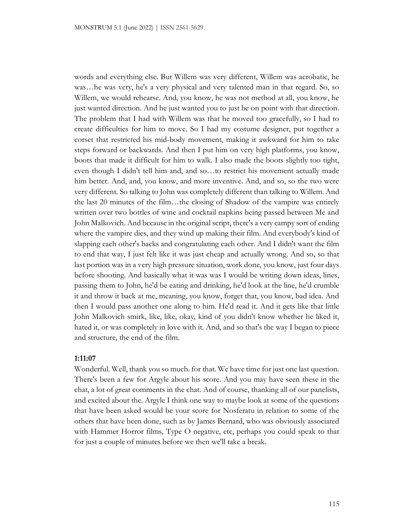words and everything else. But Willem was very different, Willem was acrobatic, he was…he was very, he's a very physical and very talented man in that regard. So, so Willem, we would rehearse. And, you know, he was not method at all, you know, he just wanted direction. And he just wanted you to just be on point with that direction. The problem that I had with Willem was that he moved too gracefully, so I had to create difficulties for him to move. So I had my costume designer, put together a corset that restricted his mid-body movement, making it awkward for him to take steps forward or backwards. And then I put him on very high platforms, you know, boots that made it difficult for him to walk. I also made the boots slightly too tight, even though I didn't tell him and, and so…to restrict his movement actually made him better. And, and, you know, and more inventive. And, and so, so the two were very different. So talking to John was completely different than talking to Willem. And the last 20 minutes of the film…the closing of Shadow of the vampire was entirely written over two bottles of wine and cocktail napkins being passed between Me and John Malkovich. And because in the original script, there's a very campy sort of ending where the vampire dies, and they wind up making their film. And everybody's kind of slapping each other's backs and congratulating each other. And I didn't want the film to end that way, I just felt like it was just cheap and actually wrong. And so, so that last portion was in a very high pressure situation, work done, you know, just four days before shooting. And basically what it was was I would be writing down ideas, lines, passing them to John, he'd be eating and drinking, he'd look at the line, he'd crumble it and throw it back at me, meaning, you know, forget that, you know, bad idea. And then I would pass another one along to him. He'd read it. And it gets like that little John Malkovich smirk, like, like, okay, kind of you didn't know whether he liked it, hated it, or was completely in love with it. And, and so that's the way I began to piece and structure, the end of the film.

# **1:11:07**

Wonderful. Well, thank you so much. for that. We have time for just one last question. There's been a few for Argyle about his score. And you may have seen these in the chat, a lot of great comments in the chat. And of course, thanking all of our panelists, and excited about the. Argyle I think one way to maybe look at some of the questions that have been asked would be your score for Nosferatu in relation to some of the others that have been done, such as by James Bernard, who was obviously associated with Hammer Horror films, Type O negative, etc, perhaps you could speak to that for just a couple of minutes before we then we'll take a break.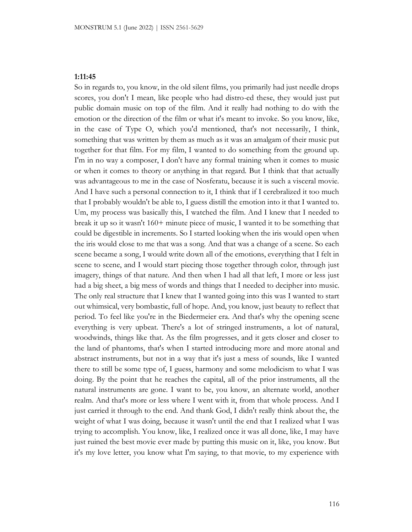## **1:11:45**

So in regards to, you know, in the old silent films, you primarily had just needle drops scores, you don't I mean, like people who had distro-ed these, they would just put public domain music on top of the film. And it really had nothing to do with the emotion or the direction of the film or what it's meant to invoke. So you know, like, in the case of Type O, which you'd mentioned, that's not necessarily, I think, something that was written by them as much as it was an amalgam of their music put together for that film. For my film, I wanted to do something from the ground up. I'm in no way a composer, I don't have any formal training when it comes to music or when it comes to theory or anything in that regard. But I think that that actually was advantageous to me in the case of Nosferatu, because it is such a visceral movie. And I have such a personal connection to it, I think that if I cerebralized it too much that I probably wouldn't be able to, I guess distill the emotion into it that I wanted to. Um, my process was basically this, I watched the film. And I knew that I needed to break it up so it wasn't 160+ minute piece of music, I wanted it to be something that could be digestible in increments. So I started looking when the iris would open when the iris would close to me that was a song. And that was a change of a scene. So each scene became a song, I would write down all of the emotions, everything that I felt in scene to scene, and I would start piecing those together through color, through just imagery, things of that nature. And then when I had all that left, I more or less just had a big sheet, a big mess of words and things that I needed to decipher into music. The only real structure that I knew that I wanted going into this was I wanted to start out whimsical, very bombastic, full of hope. And, you know, just beauty to reflect that period. To feel like you're in the Biedermeier era. And that's why the opening scene everything is very upbeat. There's a lot of stringed instruments, a lot of natural, woodwinds, things like that. As the film progresses, and it gets closer and closer to the land of phantoms, that's when I started introducing more and more atonal and abstract instruments, but not in a way that it's just a mess of sounds, like I wanted there to still be some type of, I guess, harmony and some melodicism to what I was doing. By the point that he reaches the capital, all of the prior instruments, all the natural instruments are gone. I want to be, you know, an alternate world, another realm. And that's more or less where I went with it, from that whole process. And I just carried it through to the end. And thank God, I didn't really think about the, the weight of what I was doing, because it wasn't until the end that I realized what I was trying to accomplish. You know, like, I realized once it was all done, like, I may have just ruined the best movie ever made by putting this music on it, like, you know. But it's my love letter, you know what I'm saying, to that movie, to my experience with